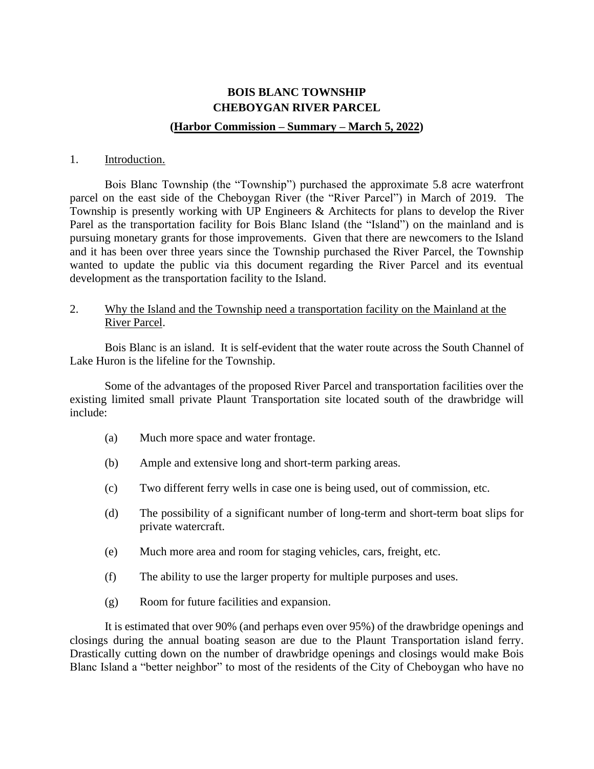# **BOIS BLANC TOWNSHIP CHEBOYGAN RIVER PARCEL (Harbor Commission – Summary – March 5, 2022)**

#### 1. Introduction.

Bois Blanc Township (the "Township") purchased the approximate 5.8 acre waterfront parcel on the east side of the Cheboygan River (the "River Parcel") in March of 2019. The Township is presently working with UP Engineers & Architects for plans to develop the River Parel as the transportation facility for Bois Blanc Island (the "Island") on the mainland and is pursuing monetary grants for those improvements. Given that there are newcomers to the Island and it has been over three years since the Township purchased the River Parcel, the Township wanted to update the public via this document regarding the River Parcel and its eventual development as the transportation facility to the Island.

## 2. Why the Island and the Township need a transportation facility on the Mainland at the River Parcel.

Bois Blanc is an island. It is self-evident that the water route across the South Channel of Lake Huron is the lifeline for the Township.

Some of the advantages of the proposed River Parcel and transportation facilities over the existing limited small private Plaunt Transportation site located south of the drawbridge will include:

- (a) Much more space and water frontage.
- (b) Ample and extensive long and short-term parking areas.
- (c) Two different ferry wells in case one is being used, out of commission, etc.
- (d) The possibility of a significant number of long-term and short-term boat slips for private watercraft.
- (e) Much more area and room for staging vehicles, cars, freight, etc.
- (f) The ability to use the larger property for multiple purposes and uses.
- (g) Room for future facilities and expansion.

It is estimated that over 90% (and perhaps even over 95%) of the drawbridge openings and closings during the annual boating season are due to the Plaunt Transportation island ferry. Drastically cutting down on the number of drawbridge openings and closings would make Bois Blanc Island a "better neighbor" to most of the residents of the City of Cheboygan who have no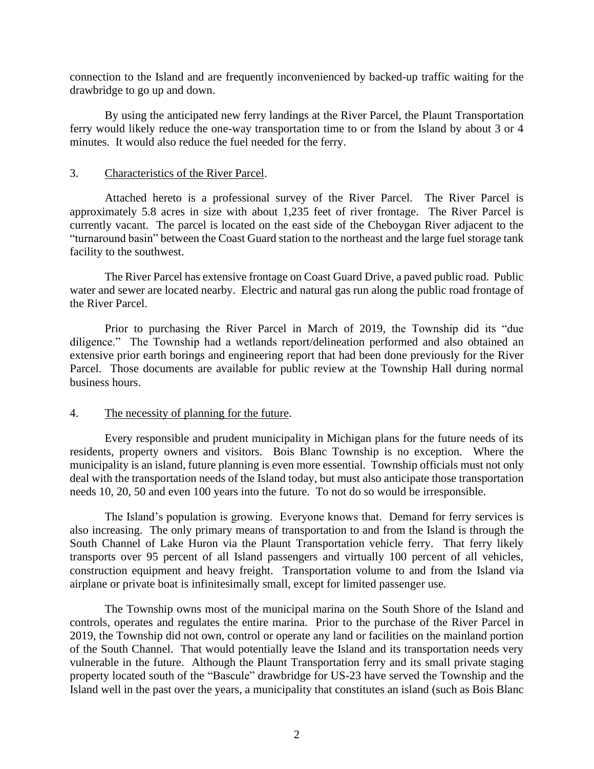connection to the Island and are frequently inconvenienced by backed-up traffic waiting for the drawbridge to go up and down.

By using the anticipated new ferry landings at the River Parcel, the Plaunt Transportation ferry would likely reduce the one-way transportation time to or from the Island by about 3 or 4 minutes. It would also reduce the fuel needed for the ferry.

#### 3. Characteristics of the River Parcel.

Attached hereto is a professional survey of the River Parcel. The River Parcel is approximately 5.8 acres in size with about 1,235 feet of river frontage. The River Parcel is currently vacant. The parcel is located on the east side of the Cheboygan River adjacent to the "turnaround basin" between the Coast Guard station to the northeast and the large fuel storage tank facility to the southwest.

The River Parcel has extensive frontage on Coast Guard Drive, a paved public road. Public water and sewer are located nearby. Electric and natural gas run along the public road frontage of the River Parcel.

Prior to purchasing the River Parcel in March of 2019, the Township did its "due diligence." The Township had a wetlands report/delineation performed and also obtained an extensive prior earth borings and engineering report that had been done previously for the River Parcel. Those documents are available for public review at the Township Hall during normal business hours.

## 4. The necessity of planning for the future.

Every responsible and prudent municipality in Michigan plans for the future needs of its residents, property owners and visitors. Bois Blanc Township is no exception. Where the municipality is an island, future planning is even more essential. Township officials must not only deal with the transportation needs of the Island today, but must also anticipate those transportation needs 10, 20, 50 and even 100 years into the future. To not do so would be irresponsible.

The Island's population is growing. Everyone knows that. Demand for ferry services is also increasing. The only primary means of transportation to and from the Island is through the South Channel of Lake Huron via the Plaunt Transportation vehicle ferry. That ferry likely transports over 95 percent of all Island passengers and virtually 100 percent of all vehicles, construction equipment and heavy freight. Transportation volume to and from the Island via airplane or private boat is infinitesimally small, except for limited passenger use.

The Township owns most of the municipal marina on the South Shore of the Island and controls, operates and regulates the entire marina. Prior to the purchase of the River Parcel in 2019, the Township did not own, control or operate any land or facilities on the mainland portion of the South Channel. That would potentially leave the Island and its transportation needs very vulnerable in the future. Although the Plaunt Transportation ferry and its small private staging property located south of the "Bascule" drawbridge for US-23 have served the Township and the Island well in the past over the years, a municipality that constitutes an island (such as Bois Blanc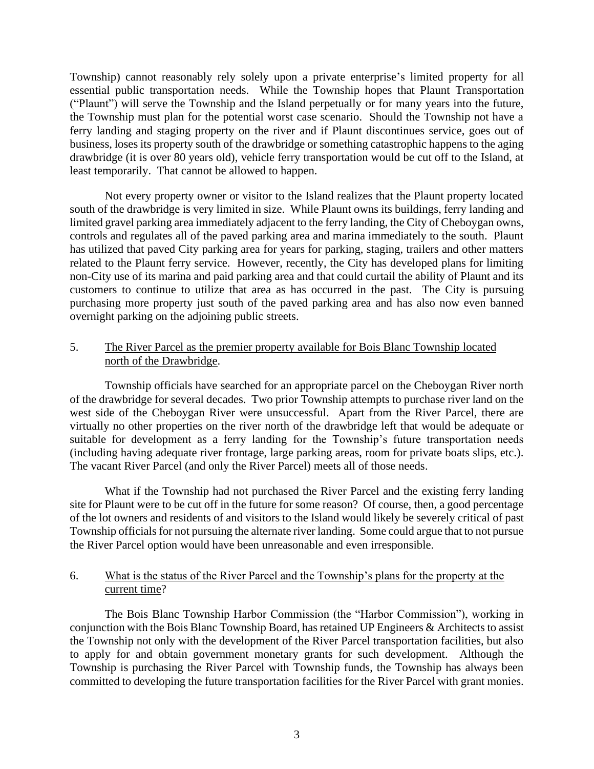Township) cannot reasonably rely solely upon a private enterprise's limited property for all essential public transportation needs. While the Township hopes that Plaunt Transportation ("Plaunt") will serve the Township and the Island perpetually or for many years into the future, the Township must plan for the potential worst case scenario. Should the Township not have a ferry landing and staging property on the river and if Plaunt discontinues service, goes out of business, loses its property south of the drawbridge or something catastrophic happens to the aging drawbridge (it is over 80 years old), vehicle ferry transportation would be cut off to the Island, at least temporarily. That cannot be allowed to happen.

Not every property owner or visitor to the Island realizes that the Plaunt property located south of the drawbridge is very limited in size. While Plaunt owns its buildings, ferry landing and limited gravel parking area immediately adjacent to the ferry landing, the City of Cheboygan owns, controls and regulates all of the paved parking area and marina immediately to the south. Plaunt has utilized that paved City parking area for years for parking, staging, trailers and other matters related to the Plaunt ferry service. However, recently, the City has developed plans for limiting non-City use of its marina and paid parking area and that could curtail the ability of Plaunt and its customers to continue to utilize that area as has occurred in the past. The City is pursuing purchasing more property just south of the paved parking area and has also now even banned overnight parking on the adjoining public streets.

# 5. The River Parcel as the premier property available for Bois Blanc Township located north of the Drawbridge.

Township officials have searched for an appropriate parcel on the Cheboygan River north of the drawbridge for several decades. Two prior Township attempts to purchase river land on the west side of the Cheboygan River were unsuccessful. Apart from the River Parcel, there are virtually no other properties on the river north of the drawbridge left that would be adequate or suitable for development as a ferry landing for the Township's future transportation needs (including having adequate river frontage, large parking areas, room for private boats slips, etc.). The vacant River Parcel (and only the River Parcel) meets all of those needs.

What if the Township had not purchased the River Parcel and the existing ferry landing site for Plaunt were to be cut off in the future for some reason? Of course, then, a good percentage of the lot owners and residents of and visitors to the Island would likely be severely critical of past Township officials for not pursuing the alternate river landing. Some could argue that to not pursue the River Parcel option would have been unreasonable and even irresponsible.

## 6. What is the status of the River Parcel and the Township's plans for the property at the current time?

The Bois Blanc Township Harbor Commission (the "Harbor Commission"), working in conjunction with the Bois Blanc Township Board, has retained UP Engineers & Architects to assist the Township not only with the development of the River Parcel transportation facilities, but also to apply for and obtain government monetary grants for such development. Although the Township is purchasing the River Parcel with Township funds, the Township has always been committed to developing the future transportation facilities for the River Parcel with grant monies.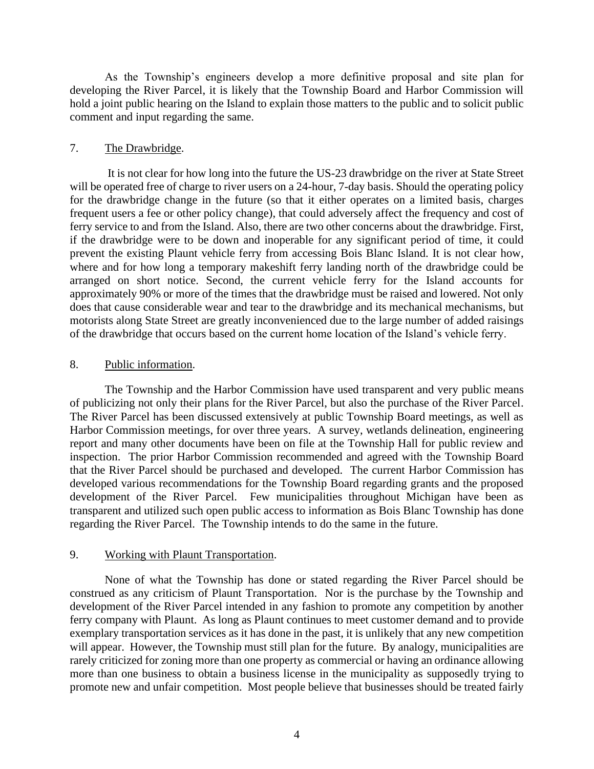As the Township's engineers develop a more definitive proposal and site plan for developing the River Parcel, it is likely that the Township Board and Harbor Commission will hold a joint public hearing on the Island to explain those matters to the public and to solicit public comment and input regarding the same.

# 7. The Drawbridge.

It is not clear for how long into the future the US-23 drawbridge on the river at State Street will be operated free of charge to river users on a 24-hour, 7-day basis. Should the operating policy for the drawbridge change in the future (so that it either operates on a limited basis, charges frequent users a fee or other policy change), that could adversely affect the frequency and cost of ferry service to and from the Island. Also, there are two other concerns about the drawbridge. First, if the drawbridge were to be down and inoperable for any significant period of time, it could prevent the existing Plaunt vehicle ferry from accessing Bois Blanc Island. It is not clear how, where and for how long a temporary makeshift ferry landing north of the drawbridge could be arranged on short notice. Second, the current vehicle ferry for the Island accounts for approximately 90% or more of the times that the drawbridge must be raised and lowered. Not only does that cause considerable wear and tear to the drawbridge and its mechanical mechanisms, but motorists along State Street are greatly inconvenienced due to the large number of added raisings of the drawbridge that occurs based on the current home location of the Island's vehicle ferry.

## 8. Public information.

The Township and the Harbor Commission have used transparent and very public means of publicizing not only their plans for the River Parcel, but also the purchase of the River Parcel. The River Parcel has been discussed extensively at public Township Board meetings, as well as Harbor Commission meetings, for over three years. A survey, wetlands delineation, engineering report and many other documents have been on file at the Township Hall for public review and inspection. The prior Harbor Commission recommended and agreed with the Township Board that the River Parcel should be purchased and developed. The current Harbor Commission has developed various recommendations for the Township Board regarding grants and the proposed development of the River Parcel. Few municipalities throughout Michigan have been as transparent and utilized such open public access to information as Bois Blanc Township has done regarding the River Parcel. The Township intends to do the same in the future.

## 9. Working with Plaunt Transportation.

None of what the Township has done or stated regarding the River Parcel should be construed as any criticism of Plaunt Transportation. Nor is the purchase by the Township and development of the River Parcel intended in any fashion to promote any competition by another ferry company with Plaunt. As long as Plaunt continues to meet customer demand and to provide exemplary transportation services as it has done in the past, it is unlikely that any new competition will appear. However, the Township must still plan for the future. By analogy, municipalities are rarely criticized for zoning more than one property as commercial or having an ordinance allowing more than one business to obtain a business license in the municipality as supposedly trying to promote new and unfair competition. Most people believe that businesses should be treated fairly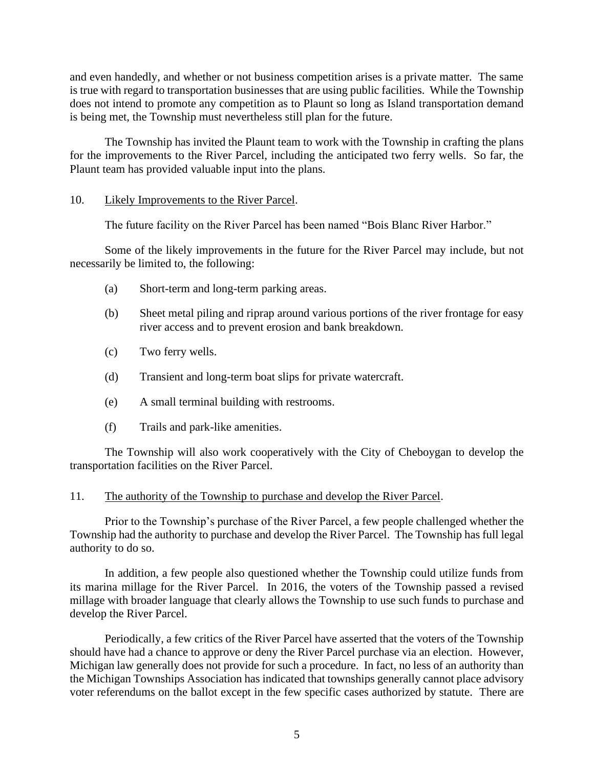and even handedly, and whether or not business competition arises is a private matter. The same is true with regard to transportation businesses that are using public facilities. While the Township does not intend to promote any competition as to Plaunt so long as Island transportation demand is being met, the Township must nevertheless still plan for the future.

The Township has invited the Plaunt team to work with the Township in crafting the plans for the improvements to the River Parcel, including the anticipated two ferry wells. So far, the Plaunt team has provided valuable input into the plans.

## 10. Likely Improvements to the River Parcel.

The future facility on the River Parcel has been named "Bois Blanc River Harbor."

Some of the likely improvements in the future for the River Parcel may include, but not necessarily be limited to, the following:

- (a) Short-term and long-term parking areas.
- (b) Sheet metal piling and riprap around various portions of the river frontage for easy river access and to prevent erosion and bank breakdown.
- (c) Two ferry wells.
- (d) Transient and long-term boat slips for private watercraft.
- (e) A small terminal building with restrooms.
- (f) Trails and park-like amenities.

The Township will also work cooperatively with the City of Cheboygan to develop the transportation facilities on the River Parcel.

#### 11. The authority of the Township to purchase and develop the River Parcel.

Prior to the Township's purchase of the River Parcel, a few people challenged whether the Township had the authority to purchase and develop the River Parcel. The Township has full legal authority to do so.

In addition, a few people also questioned whether the Township could utilize funds from its marina millage for the River Parcel. In 2016, the voters of the Township passed a revised millage with broader language that clearly allows the Township to use such funds to purchase and develop the River Parcel.

Periodically, a few critics of the River Parcel have asserted that the voters of the Township should have had a chance to approve or deny the River Parcel purchase via an election. However, Michigan law generally does not provide for such a procedure. In fact, no less of an authority than the Michigan Townships Association has indicated that townships generally cannot place advisory voter referendums on the ballot except in the few specific cases authorized by statute. There are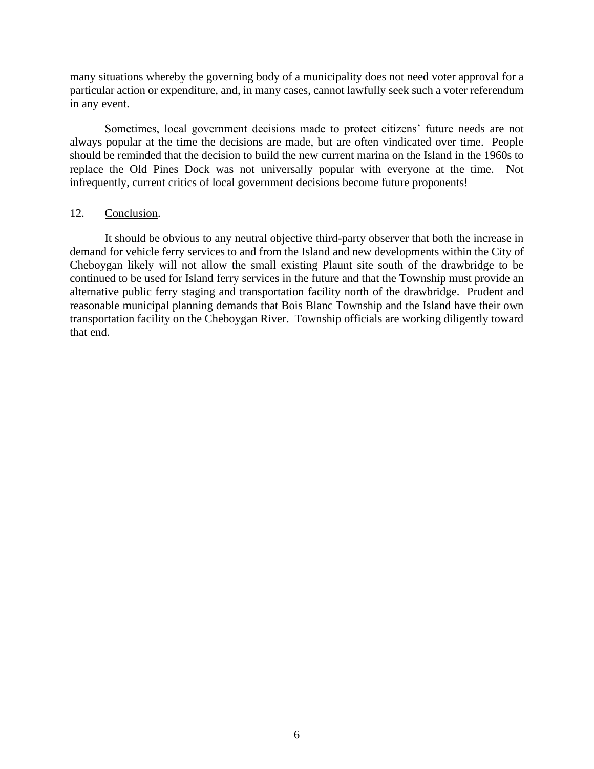many situations whereby the governing body of a municipality does not need voter approval for a particular action or expenditure, and, in many cases, cannot lawfully seek such a voter referendum in any event.

Sometimes, local government decisions made to protect citizens' future needs are not always popular at the time the decisions are made, but are often vindicated over time. People should be reminded that the decision to build the new current marina on the Island in the 1960s to replace the Old Pines Dock was not universally popular with everyone at the time. Not infrequently, current critics of local government decisions become future proponents!

#### 12. Conclusion.

It should be obvious to any neutral objective third-party observer that both the increase in demand for vehicle ferry services to and from the Island and new developments within the City of Cheboygan likely will not allow the small existing Plaunt site south of the drawbridge to be continued to be used for Island ferry services in the future and that the Township must provide an alternative public ferry staging and transportation facility north of the drawbridge. Prudent and reasonable municipal planning demands that Bois Blanc Township and the Island have their own transportation facility on the Cheboygan River. Township officials are working diligently toward that end.